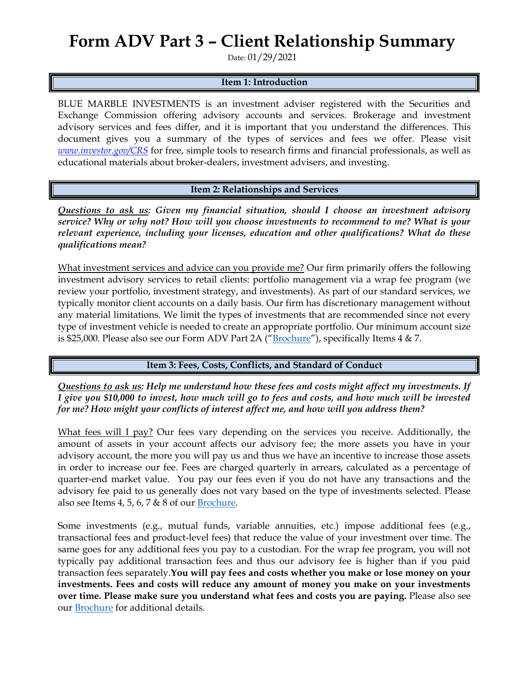### **Form ADV Part 3 – Client Relationship Summary**

Date: 01/29/2021

#### **Item 1: Introduction**

BLUE MARBLE INVESTMENTS is an investment adviser registered with the Securities and Exchange Commission offering advisory accounts and services. Brokerage and investment advisory services and fees differ, and it is important that you understand the differences. This document gives you a summary of the types of services and fees we offer. Please visit *[www.investor.gov/CRS](http://www.investor.gov/CRS)* for free, simple tools to research firms and financial professionals, as well as educational materials about broker-dealers, investment advisers, and investing.

**Item 2: Relationships and Services**

*Questions to ask us: Given my financial situation, should I choose an investment advisory service? Why or why not? How will you choose investments to recommend to me? What is your relevant experience, including your licenses, education and other qualifications? What do these qualifications mean?*

What investment services and advice can you provide me? Our firm primarily offers the following investment advisory services to retail clients: portfolio management via a wrap fee program (we review your portfolio, investment strategy, and investments). As part of our standard services, we typically monitor client accounts on a daily basis. Our firm has discretionary management without any material limitations. We limit the types of investments that are recommended since not every type of investment vehicle is needed to create an appropriate portfolio. Our minimum account size is \$25,000. Please also see our Form ADV Part 2A ("[Brochure](https://adviserinfo.sec.gov/firm/summary/141354)"), specifically Items 4 & 7.

**Item 3: Fees, Costs, Conflicts, and Standard of Conduct** 

*Questions to ask us: Help me understand how these fees and costs might affect my investments. If I give you \$10,000 to invest, how much will go to fees and costs, and how much will be invested for me? How might your conflicts of interest affect me, and how will you address them?* 

What fees will I pay? Our fees vary depending on the services you receive. Additionally, the amount of assets in your account affects our advisory fee; the more assets you have in your advisory account, the more you will pay us and thus we have an incentive to increase those assets in order to increase our fee. Fees are charged quarterly in arrears, calculated as a percentage of quarter-end market value. You pay our fees even if you do not have any transactions and the advisory fee paid to us generally does not vary based on the type of investments selected. Please also see Items 4, 5, 6, 7  $& 8$  of our **Brochure**.

Some investments (e.g., mutual funds, variable annuities, etc.) impose additional fees (e.g., transactional fees and product-level fees) that reduce the value of your investment over time. The same goes for any additional fees you pay to a custodian. For the wrap fee program, you will not typically pay additional transaction fees and thus our advisory fee is higher than if you paid transaction fees separately.**You will pay fees and costs whether you make or lose money on your investments. Fees and costs will reduce any amount of money you make on your investments over time. Please make sure you understand what fees and costs you are paying.** Please also see our **[Brochure](https://adviserinfo.sec.gov/firm/summary/141354)** for additional details.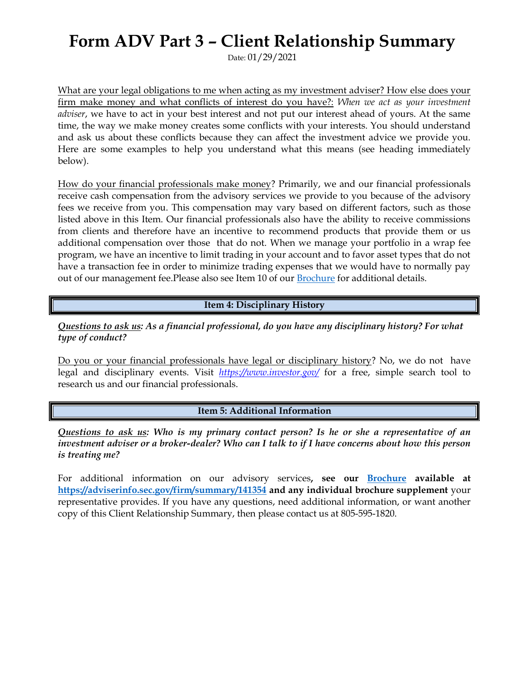# **Form ADV Part 3 – Client Relationship Summary**

Date: 01/29/2021

What are your legal obligations to me when acting as my investment adviser? How else does your firm make money and what conflicts of interest do you have?: *When we act as your investment adviser*, we have to act in your best interest and not put our interest ahead of yours. At the same time, the way we make money creates some conflicts with your interests. You should understand and ask us about these conflicts because they can affect the investment advice we provide you. Here are some examples to help you understand what this means (see heading immediately below).

How do your financial professionals make money? Primarily, we and our financial professionals receive cash compensation from the advisory services we provide to you because of the advisory fees we receive from you. This compensation may vary based on different factors, such as those listed above in this Item. Our financial professionals also have the ability to receive commissions from clients and therefore have an incentive to recommend products that provide them or us additional compensation over those that do not. When we manage your portfolio in a wrap fee program, we have an incentive to limit trading in your account and to favor asset types that do not have a transaction fee in order to minimize trading expenses that we would have to normally pay out of our management fee.Please also see Item 10 of our **[Brochure](https://adviserinfo.sec.gov/firm/summary/141354)** for additional details.

**Item 4: Disciplinary History**

*Questions to ask us: As a financial professional, do you have any disciplinary history? For what type of conduct?*

Do you or your financial professionals have legal or disciplinary history? No, we do not have legal and disciplinary events. Visit *<https://www.investor.gov/>* for a free, simple search tool to research us and our financial professionals.

#### **Item 5: Additional Information**

*Questions to ask us: Who is my primary contact person? Is he or she a representative of an investment adviser or a broker-dealer? Who can I talk to if I have concerns about how this person is treating me?*

For additional information on our advisory services**, see our [Brochure](https://adviserinfo.sec.gov/firm/summary/141354) available at <https://adviserinfo.sec.gov/firm/summary/141354> and any individual brochure supplement** your representative provides. If you have any questions, need additional information, or want another copy of this Client Relationship Summary, then please contact us at 805-595-1820.